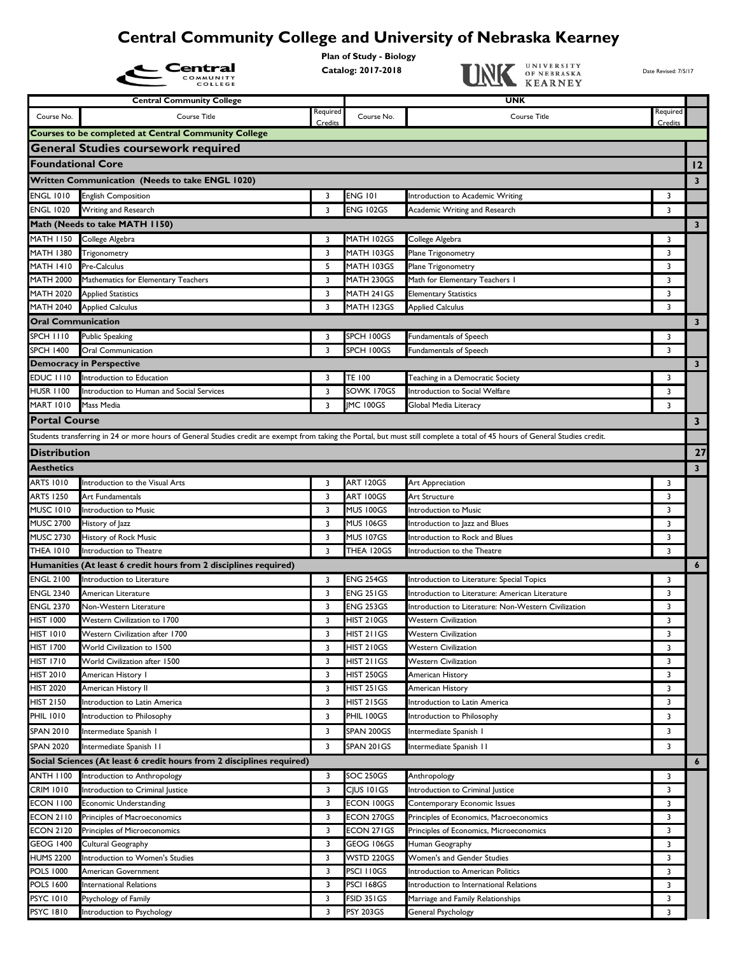## **Central Community College and University of Nebraska Kearney**

**Plan of Study - Biology**

|                           | Central                                                                                                                                                                       |          | riali of Study - Blology<br>Catalog: 2017-2018 | UNIVERSITY<br>OF NEBRASKA<br><b>KEARNEY</b>          | Date Revised: 7/5/17    |                         |
|---------------------------|-------------------------------------------------------------------------------------------------------------------------------------------------------------------------------|----------|------------------------------------------------|------------------------------------------------------|-------------------------|-------------------------|
|                           | <b>Central Community College</b>                                                                                                                                              |          |                                                | UNK                                                  |                         |                         |
| Course No.                | Course Title                                                                                                                                                                  | Required | Course No.                                     | Course Title                                         | Required<br>Credits     |                         |
|                           | <b>Courses to be completed at Central Community College</b>                                                                                                                   | Credits  |                                                |                                                      |                         |                         |
|                           | <b>General Studies coursework required</b>                                                                                                                                    |          |                                                |                                                      |                         |                         |
| <b>Foundational Core</b>  |                                                                                                                                                                               |          |                                                |                                                      |                         | 12                      |
|                           |                                                                                                                                                                               |          |                                                |                                                      |                         |                         |
|                           | <b>Written Communication (Needs to take ENGL 1020)</b>                                                                                                                        |          |                                                |                                                      |                         | 3 <sup>7</sup>          |
| <b>ENGL 1010</b>          | <b>English Composition</b>                                                                                                                                                    | 3        | <b>ENG 101</b>                                 | Introduction to Academic Writing                     | 3                       |                         |
| <b>ENGL 1020</b>          | Writing and Research                                                                                                                                                          | 3        | ENG 102GS                                      | Academic Writing and Research                        | 3                       |                         |
|                           | Math (Needs to take MATH 1150)                                                                                                                                                |          |                                                |                                                      |                         | $\mathbf{3}$            |
| <b>MATH 1150</b>          | College Algebra                                                                                                                                                               | 3        | MATH 102GS                                     | College Algebra                                      | 3                       |                         |
| <b>MATH 1380</b>          | Trigonometry                                                                                                                                                                  | 3        | MATH 103GS                                     | Plane Trigonometry                                   | 3                       |                         |
| <b>MATH 1410</b>          | Pre-Calculus                                                                                                                                                                  | 5        | MATH 103GS                                     | Plane Trigonometry                                   | 3                       |                         |
| <b>MATH 2000</b>          | Mathematics for Elementary Teachers                                                                                                                                           | 3        | MATH 230GS                                     | Math for Elementary Teachers I                       | 3                       |                         |
| <b>MATH 2020</b>          | <b>Applied Statistics</b>                                                                                                                                                     | 3        | MATH 241GS                                     | <b>Elementary Statistics</b>                         | 3                       |                         |
| <b>MATH 2040</b>          | <b>Applied Calculus</b>                                                                                                                                                       | 3        | MATH 123GS                                     | <b>Applied Calculus</b>                              | $\overline{\mathbf{3}}$ |                         |
| <b>Oral Communication</b> |                                                                                                                                                                               |          |                                                |                                                      |                         | 3 <sup>7</sup>          |
| <b>SPCH 1110</b>          | <b>Public Speaking</b>                                                                                                                                                        | 3        | SPCH 100GS                                     | Fundamentals of Speech                               | 3                       |                         |
| <b>SPCH 1400</b>          | Oral Communication                                                                                                                                                            | 3        | SPCH 100GS                                     | Fundamentals of Speech                               | 3                       |                         |
|                           | <b>Democracy in Perspective</b>                                                                                                                                               |          |                                                |                                                      |                         | 3 <sup>7</sup>          |
| EDUC III0                 | Introduction to Education                                                                                                                                                     | 3        | TE 100                                         | Teaching in a Democratic Society                     | 3                       |                         |
| <b>HUSR 1100</b>          | Introduction to Human and Social Services                                                                                                                                     | 3        | SOWK 170GS                                     | <b>Introduction to Social Welfare</b>                | 3                       |                         |
| <b>MART 1010</b>          | Mass Media                                                                                                                                                                    | 3        | IMC 100GS                                      | Global Media Literacy                                | 3                       |                         |
| <b>Portal Course</b>      |                                                                                                                                                                               |          |                                                |                                                      |                         | $\mathbf{3}$            |
|                           | Students transferring in 24 or more hours of General Studies credit are exempt from taking the Portal, but must still complete a total of 45 hours of General Studies credit. |          |                                                |                                                      |                         |                         |
| <b>Distribution</b>       |                                                                                                                                                                               |          |                                                |                                                      |                         | 27                      |
| <b>Aesthetics</b>         |                                                                                                                                                                               |          |                                                |                                                      |                         | $\overline{\mathbf{3}}$ |
| ARTS 1010                 | Introduction to the Visual Arts                                                                                                                                               | 3        | ART 120GS                                      | Art Appreciation                                     | 3                       |                         |
| ARTS 1250                 | Art Fundamentals                                                                                                                                                              | 3        | ART 100GS                                      | Art Structure                                        | 3                       |                         |
| <b>MUSC 1010</b>          | Introduction to Music                                                                                                                                                         | 3        | <b>MUS 100GS</b>                               | Introduction to Music                                | 3                       |                         |
| <b>MUSC 2700</b>          | History of Jazz                                                                                                                                                               | 3        | <b>MUS 106GS</b>                               | Introduction to Jazz and Blues                       | 3                       |                         |
| <b>MUSC 2730</b>          | History of Rock Music                                                                                                                                                         | 3        | <b>MUS 107GS</b>                               | Introduction to Rock and Blues                       | 3                       |                         |
| <b>THEA 1010</b>          | Introduction to Theatre                                                                                                                                                       | 3        | THEA 120GS                                     | Introduction to the Theatre                          | 3                       |                         |
|                           | Humanities (At least 6 credit hours from 2 disciplines required)                                                                                                              |          |                                                |                                                      |                         | $\epsilon$              |
| <b>ENGL 2100</b>          | Introduction to Literature                                                                                                                                                    | 3        | <b>ENG 254GS</b>                               | Introduction to Literature: Special Topics           | 3                       |                         |
| <b>ENGL 2340</b>          | American Literature                                                                                                                                                           | 3        | <b>ENG 251GS</b>                               | Introduction to Literature: American Literature      | 3                       |                         |
| <b>ENGL 2370</b>          | Non-Western Literature                                                                                                                                                        | 3        | <b>ENG 253GS</b>                               | Introduction to Literature: Non-Western Civilization | 3                       |                         |
| HIST 1000                 | Western Civilization to 1700                                                                                                                                                  | 3        | <b>HIST 210GS</b>                              | <b>Western Civilization</b>                          | 3                       |                         |
| <b>HIST 1010</b>          | Western Civilization after 1700                                                                                                                                               | 3        | HIST 211GS                                     | <b>Western Civilization</b>                          | 3                       |                         |
| HIST 1700                 | World Civilization to 1500                                                                                                                                                    | 3        | HIST 210GS                                     | <b>Western Civilization</b>                          | 3                       |                         |
| <b>HIST 1710</b>          | World Civilization after 1500                                                                                                                                                 | 3        | HIST 211GS                                     | <b>Western Civilization</b>                          | 3                       |                         |
| <b>HIST 2010</b>          | American History I                                                                                                                                                            | 3        | <b>HIST 250GS</b>                              | American History                                     | 3                       |                         |
| <b>HIST 2020</b>          | American History II                                                                                                                                                           | 3        | HIST 251 GS                                    | American History                                     | 3                       |                         |
| <b>HIST 2150</b>          | Introduction to Latin America                                                                                                                                                 | 3        | HIST 215GS                                     | Introduction to Latin America                        | 3                       |                         |
| <b>PHIL 1010</b>          | Introduction to Philosophy                                                                                                                                                    | 3        | PHIL 100GS                                     | Introduction to Philosophy                           | 3                       |                         |
| SPAN 2010                 | Intermediate Spanish I                                                                                                                                                        | 3        | SPAN 200GS                                     | Intermediate Spanish I                               | 3                       |                         |
| <b>SPAN 2020</b>          | Intermediate Spanish II                                                                                                                                                       | 3        | SPAN 201GS                                     | Intermediate Spanish II                              | 3                       |                         |
|                           | Social Sciences (At least 6 credit hours from 2 disciplines required)                                                                                                         |          |                                                |                                                      |                         |                         |
| <b>ANTH 1100</b>          |                                                                                                                                                                               | 3        | SOC 250GS                                      |                                                      | 3                       | $\epsilon$              |
| <b>CRIM 1010</b>          | Introduction to Anthropology<br>Introduction to Criminal Justice                                                                                                              | 3        | CIUS 101GS                                     | Anthropology<br>Introduction to Criminal Justice     | 3                       |                         |
| <b>ECON 1100</b>          | Economic Understanding                                                                                                                                                        | 3        | ECON 100GS                                     | Contemporary Economic Issues                         | 3                       |                         |
| <b>ECON 2110</b>          | Principles of Macroeconomics                                                                                                                                                  | 3        | ECON 270GS                                     | Principles of Economics, Macroeconomics              | 3                       |                         |
| <b>ECON 2120</b>          | Principles of Microeconomics                                                                                                                                                  | 3        | ECON 271GS                                     | Principles of Economics, Microeconomics              | 3                       |                         |
| <b>GEOG 1400</b>          | Cultural Geography                                                                                                                                                            | 3        | GEOG 106GS                                     | Human Geography                                      | 3                       |                         |
| <b>HUMS 2200</b>          | Introduction to Women's Studies                                                                                                                                               | 3        | WSTD 220GS                                     | Women's and Gender Studies                           | 3                       |                         |
| <b>POLS 1000</b>          | American Government                                                                                                                                                           | 3        | PSCI 110GS                                     | Introduction to American Politics                    | 3                       |                         |
| <b>POLS 1600</b>          | <b>International Relations</b>                                                                                                                                                | 3        | PSCI 168GS                                     | Introduction to International Relations              | 3                       |                         |
| <b>PSYC 1010</b>          | Psychology of Family                                                                                                                                                          | 3        | FSID 351GS                                     | Marriage and Family Relationships                    | 3                       |                         |
| <b>PSYC 1810</b>          | Introduction to Psychology                                                                                                                                                    | 3        | PSY 203GS                                      | General Psychology                                   | 3                       |                         |
|                           |                                                                                                                                                                               |          |                                                |                                                      |                         |                         |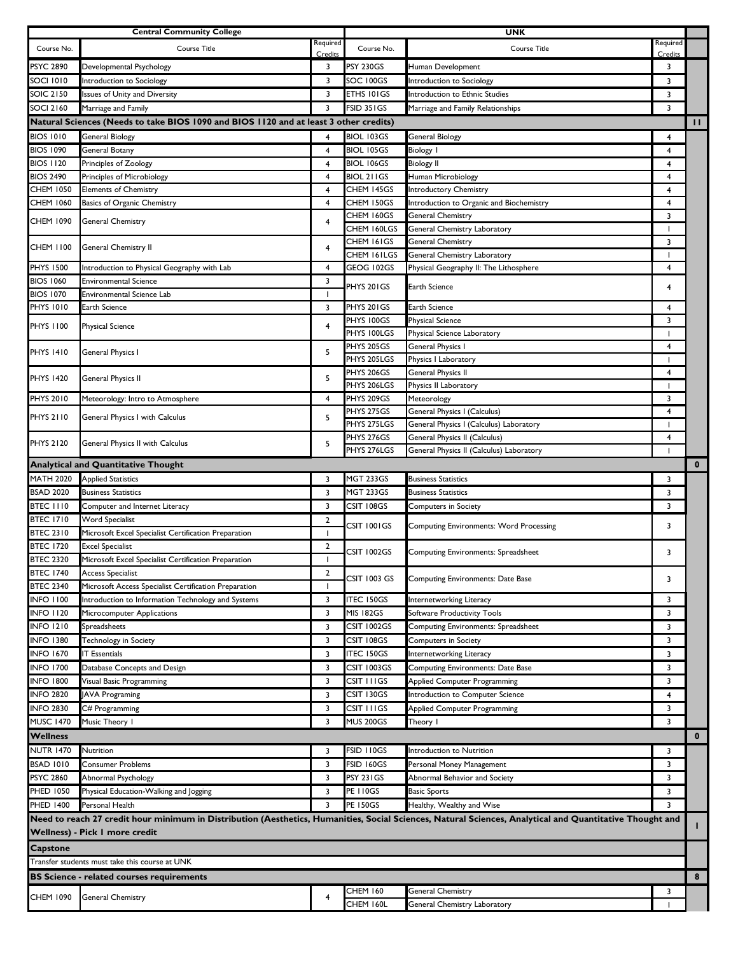|                                                                                                                                                                                            | <b>Central Community College</b>                                                      |                |                     | <b>UNK</b>                                     |                          |              |
|--------------------------------------------------------------------------------------------------------------------------------------------------------------------------------------------|---------------------------------------------------------------------------------------|----------------|---------------------|------------------------------------------------|--------------------------|--------------|
| Course No.                                                                                                                                                                                 | Course Title                                                                          | Required       | Course No.          | Course Title                                   | Required                 |              |
|                                                                                                                                                                                            |                                                                                       | Credits        |                     |                                                | Credits                  |              |
| PSYC 2890                                                                                                                                                                                  | Developmental Psychology                                                              | 3              | <b>PSY 230GS</b>    | Human Development                              | 3                        |              |
| SOCI 1010                                                                                                                                                                                  | Introduction to Sociology                                                             | 3              | SOC 100GS           | Introduction to Sociology                      | 3                        |              |
| <b>SOIC 2150</b>                                                                                                                                                                           | Issues of Unity and Diversity                                                         | 3              | ETHS 101GS          | Introduction to Ethnic Studies                 | 3                        |              |
| <b>SOCI 2160</b>                                                                                                                                                                           | Marriage and Family                                                                   | 3              | FSID 351GS          | Marriage and Family Relationships              | 3                        |              |
|                                                                                                                                                                                            | Natural Sciences (Needs to take BIOS 1090 and BIOS 1120 and at least 3 other credits) |                |                     |                                                |                          | Ш            |
| <b>BIOS 1010</b>                                                                                                                                                                           | General Biology                                                                       |                | BIOL 103GS          | <b>General Biology</b>                         | 4                        |              |
| <b>BIOS 1090</b>                                                                                                                                                                           | <b>General Botany</b>                                                                 | 4              | <b>BIOL 105GS</b>   | <b>Biology I</b>                               | 4                        |              |
| <b>BIOS 1120</b>                                                                                                                                                                           | Principles of Zoology                                                                 | 4              | <b>BIOL 106GS</b>   | <b>Biology II</b>                              | 4                        |              |
| <b>BIOS 2490</b>                                                                                                                                                                           | Principles of Microbiology                                                            | $\overline{4}$ | BIOL 211GS          | Human Microbiology                             | $\overline{4}$           |              |
| <b>CHEM 1050</b>                                                                                                                                                                           | <b>Elements of Chemistry</b>                                                          | $\overline{4}$ | CHEM 145GS          | Introductory Chemistry                         | 4                        |              |
| <b>CHEM 1060</b>                                                                                                                                                                           | Basics of Organic Chemistry                                                           | 4              | CHEM 150GS          | Introduction to Organic and Biochemistry       | 4                        |              |
|                                                                                                                                                                                            |                                                                                       |                | CHEM 160GS          | General Chemistry                              | 3                        |              |
| CHEM 1090                                                                                                                                                                                  | General Chemistry                                                                     | 4              | CHEM 160LGS         | General Chemistry Laboratory                   | $\overline{\phantom{a}}$ |              |
|                                                                                                                                                                                            |                                                                                       |                | CHEM 161GS          | General Chemistry                              | 3                        |              |
| CHEM 1100                                                                                                                                                                                  | General Chemistry II                                                                  | 4              | CHEM 161LGS         | General Chemistry Laboratory                   | $\mathbf{I}$             |              |
| <b>PHYS 1500</b>                                                                                                                                                                           | Introduction to Physical Geography with Lab                                           | 4              | GEOG 102GS          | Physical Geography II: The Lithosphere         | 4                        |              |
| <b>BIOS 1060</b>                                                                                                                                                                           | <b>Environmental Science</b>                                                          | 3              |                     |                                                |                          |              |
| <b>BIOS 1070</b>                                                                                                                                                                           | <b>Environmental Science Lab</b>                                                      | п.             | PHYS 201GS          | Earth Science                                  | 4                        |              |
| <b>PHYS 1010</b>                                                                                                                                                                           | <b>Earth Science</b>                                                                  | 3              | PHYS 201GS          | Earth Science                                  | $\overline{4}$           |              |
|                                                                                                                                                                                            |                                                                                       |                | PHYS 100GS          | <b>Physical Science</b>                        | 3                        |              |
| <b>PHYS 1100</b>                                                                                                                                                                           | <b>Physical Science</b>                                                               | $\overline{4}$ | PHYS 100LGS         | Physical Science Laboratory                    | $\mathbf{I}$             |              |
| <b>PHYS 1410</b>                                                                                                                                                                           |                                                                                       |                | PHYS 205GS          | General Physics I                              | $\overline{4}$           |              |
|                                                                                                                                                                                            | General Physics I                                                                     | 5              | PHYS 205LGS         | Physics I Laboratory                           | $\mathbf{I}$             |              |
|                                                                                                                                                                                            |                                                                                       |                | PHYS 206GS          | General Physics II                             | 4                        |              |
| PHYS 1420                                                                                                                                                                                  | General Physics II                                                                    | 5              | PHYS 206LGS         | Physics II Laboratory                          | H                        |              |
| <b>PHYS 2010</b>                                                                                                                                                                           | Meteorology: Intro to Atmosphere                                                      | 4              | PHYS 209GS          | Meteorology                                    | 3                        |              |
|                                                                                                                                                                                            |                                                                                       |                | PHYS 275GS          | General Physics I (Calculus)                   | 4                        |              |
| <b>PHYS 2110</b>                                                                                                                                                                           | General Physics I with Calculus                                                       | 5              | PHYS 275LGS         | General Physics I (Calculus) Laboratory        |                          |              |
|                                                                                                                                                                                            |                                                                                       |                | PHYS 276GS          | General Physics II (Calculus)                  | $\overline{\mathbf{4}}$  |              |
| PHYS 2120                                                                                                                                                                                  | General Physics II with Calculus                                                      | 5              | PHYS 276LGS         | General Physics II (Calculus) Laboratory       |                          |              |
|                                                                                                                                                                                            | <b>Analytical and Quantitative Thought</b>                                            |                |                     |                                                |                          | $\mathbf 0$  |
| <b>MATH 2020</b>                                                                                                                                                                           | <b>Applied Statistics</b>                                                             | 3              | <b>MGT 233GS</b>    | <b>Business Statistics</b>                     | 3                        |              |
| <b>BSAD 2020</b>                                                                                                                                                                           | <b>Business Statistics</b>                                                            | 3              | <b>MGT 233GS</b>    | <b>Business Statistics</b>                     | 3                        |              |
| BTEC 1110                                                                                                                                                                                  | Computer and Internet Literacy                                                        | 3              | CSIT 108GS          | <b>Computers in Society</b>                    | 3                        |              |
| <b>BTEC 1710</b>                                                                                                                                                                           | <b>Word Specialist</b>                                                                | $\overline{2}$ |                     |                                                |                          |              |
| <b>BTEC 2310</b>                                                                                                                                                                           | Microsoft Excel Specialist Certification Preparation                                  | $\mathbf{I}$   | CSIT 1001GS         | <b>Computing Environments: Word Processing</b> | 3                        |              |
| <b>BTEC 1720</b>                                                                                                                                                                           | <b>Excel Specialist</b>                                                               | $\overline{2}$ |                     |                                                |                          |              |
| <b>BTEC 2320</b>                                                                                                                                                                           | Microsoft Excel Specialist Certification Preparation                                  |                | CSIT 1002GS         | Computing Environments: Spreadsheet            | 3                        |              |
| <b>BTEC 1740</b>                                                                                                                                                                           | <b>Access Specialist</b>                                                              | 2              |                     |                                                |                          |              |
| <b>BTEC 2340</b>                                                                                                                                                                           | Microsoft Access Specialist Certification Preparation                                 |                | <b>CSIT 1003 GS</b> | Computing Environments: Date Base              | 3                        |              |
| <b>INFO 1100</b>                                                                                                                                                                           | Introduction to Information Technology and Systems                                    | 3              | <b>ITEC 150GS</b>   | Internetworking Literacy                       | 3                        |              |
| <b>INFO 1120</b>                                                                                                                                                                           | Microcomputer Applications                                                            | 3              | <b>MIS 182GS</b>    | Software Productivity Tools                    | 3                        |              |
| <b>INFO 1210</b>                                                                                                                                                                           | Spreadsheets                                                                          | 3              | CSIT 1002GS         | Computing Environments: Spreadsheet            | 3                        |              |
| <b>INFO 1380</b>                                                                                                                                                                           |                                                                                       | 3              | CSIT 108GS          |                                                |                          |              |
|                                                                                                                                                                                            | Technology in Society                                                                 |                |                     | <b>Computers in Society</b>                    | 3                        |              |
| <b>INFO 1670</b>                                                                                                                                                                           | <b>IT Essentials</b>                                                                  | 3              | <b>ITEC 150GS</b>   | Internetworking Literacy                       | 3                        |              |
| <b>INFO 1700</b>                                                                                                                                                                           | Database Concepts and Design                                                          | 3              | CSIT 1003GS         | Computing Environments: Date Base              | 3                        |              |
| <b>INFO 1800</b>                                                                                                                                                                           | Visual Basic Programming                                                              | 3              | CSIT I I I GS       | <b>Applied Computer Programming</b>            | 3                        |              |
| <b>INFO 2820</b>                                                                                                                                                                           | <b>JAVA Programing</b>                                                                | 3              | CSIT 130GS          | Introduction to Computer Science               | 4                        |              |
| <b>INFO 2830</b>                                                                                                                                                                           | C# Programming                                                                        | 3              | CSIT I I I GS       | Applied Computer Programming                   | 3                        |              |
| <b>MUSC 1470</b>                                                                                                                                                                           | Music Theory I                                                                        | 3              | <b>MUS 200GS</b>    | Theory I                                       | 3                        |              |
| <b>Wellness</b>                                                                                                                                                                            |                                                                                       |                |                     |                                                |                          | $\mathbf{0}$ |
| <b>NUTR 1470</b>                                                                                                                                                                           | Nutrition                                                                             | 3              | FSID 110GS          | Introduction to Nutrition                      | 3                        |              |
| <b>BSAD 1010</b>                                                                                                                                                                           | <b>Consumer Problems</b>                                                              | 3              | <b>FSID 160GS</b>   | Personal Money Management                      | 3                        |              |
| <b>PSYC 2860</b>                                                                                                                                                                           | Abnormal Psychology                                                                   | 3              | <b>PSY 231GS</b>    | Abnormal Behavior and Society                  | 3                        |              |
| <b>PHED 1050</b>                                                                                                                                                                           | Physical Education-Walking and Jogging                                                | 3              | <b>PE 110GS</b>     | <b>Basic Sports</b>                            | 3                        |              |
| <b>PHED 1400</b>                                                                                                                                                                           | Personal Health                                                                       | 3              | <b>PE 150GS</b>     | Healthy, Wealthy and Wise                      | 3                        |              |
|                                                                                                                                                                                            |                                                                                       |                |                     |                                                |                          |              |
| Need to reach 27 credit hour minimum in Distribution (Aesthetics, Humanities, Social Sciences, Natural Sciences, Analytical and Quantitative Thought and<br>Wellness) - Pick I more credit |                                                                                       |                |                     |                                                |                          |              |
| <b>Capstone</b>                                                                                                                                                                            |                                                                                       |                |                     |                                                |                          |              |
|                                                                                                                                                                                            | Transfer students must take this course at UNK                                        |                |                     |                                                |                          |              |
|                                                                                                                                                                                            |                                                                                       |                |                     |                                                |                          |              |
|                                                                                                                                                                                            | <b>BS Science - related courses requirements</b>                                      |                |                     |                                                |                          | 8            |
| CHEM 1090                                                                                                                                                                                  | <b>General Chemistry</b>                                                              | 4              | <b>CHEM 160</b>     | General Chemistry                              | 3                        |              |
|                                                                                                                                                                                            |                                                                                       |                | CHEM 160L           | General Chemistry Laboratory                   |                          |              |